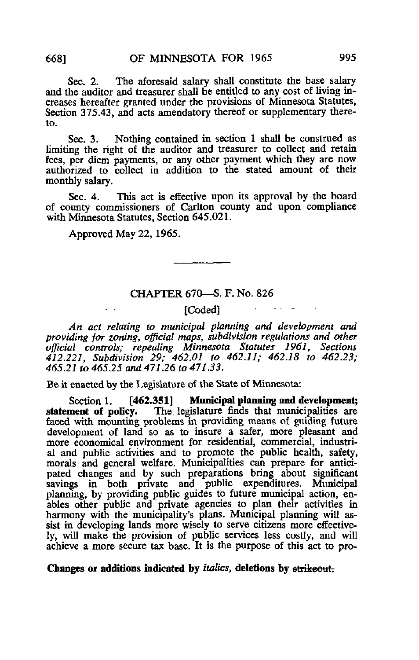Sec. 2. The aforesaid salary shall constitute the base salary and the auditor and treasurer shall be entitled to any cost of living increases hereafter granted under the provisions of Minnesota Statutes, Section 375.43, and acts amendatory thereof or supplementary thereto.

Sec. 3. Nothing contained in section 1 shall be construed as limiting the right of the auditor and treasurer to collect and retain fees, per diem payments, or any other payment which they are now authorized to collect in addition to the stated amount of their monthly salary.

Sec. 4. This act is effective upon its approval by the board of county commissioners of Carlton county and upon compliance with Minnesota Statutes, Section 645.021.

Approved May 22, 1965.

# CHAPTER 670—S. F. No. 826

## [Coded]

An act relating to municipal planning and development and providing for zoning, official maps, subdivision regulations and other official controls; repealing Minnesota Statutes 1961, Sections 412.221, Subdivision 29; 462.01 to 462.11; 462.18 to 462.23; 465.21 to 465.25 and 471.26 to 471.33.

Be it enacted by the Legislature of the State of Minnesota:

Section 1. [462.351] Municipal planning and development;<br>statement of policy. The legislature finds that municipalities are The legislature finds that municipalities are faced with mounting problems in providing means of guiding future development of land so as to insure a safer, more pleasant and more economical environment for residential, commercial, industrial and public activities and to promote the public health, safety, morals and general welfare. Municipalities can prepare for anticipated changes and by such preparations bring about significant savings in both private and public expenditures. Municipal planning, by providing public guides to future municipal action, enables other public and private agencies to plan their activities in harmony with the municipality's plans. Municipal planning will assist in developing lands more wisely to serve citizens more effectively, will make the provision of public services less costly, and will achieve a more secure tax base. It is the purpose of this act to pro-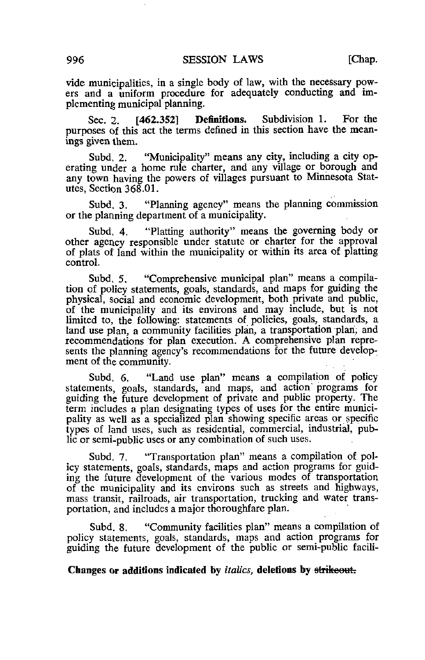vide municipalities, in a single body of law, with the necessary powers and a uniform procedure for adequately conducting and implementing municipal planning.

Sec. 2. [462.352] Definitions. Subdivision 1. For the purposes of this act the terms defined in this section have the meanings given them.

Subd, 2. "Municipality" means any city, including a city operating under a home rule charter, and any village or borough and any town having the powers of villages pursuant to Minnesota Statutes, Section 368.01.

Subd, 3. "Planning agency" means the planning commission or the planning department of a municipality.

Subd, 4. "Platting authority" means the governing body or other agency responsible under statute or charter for the approval of plats of land within the municipality or within its area of platting control.

Subd, 5. "Comprehensive municipal plan" means a compilation of policy statements, goals, standards, and maps for guiding the physical, social and economic development, both private and public, of the municipality and its environs and may include, but is not limited to, the following: statements of policies, goals, standards, a land use plan, a community facilities plan, a transportation plan, and recommendations for plan execution. A comprehensive plan represents the planning agency's recommendations for the future development of the community.

Subd, 6. "Land use plan" means a compilation of policy statements, goals, standards, and maps, and action" programs for guiding the future development of private and public property. The term includes a plan designating types of uses for the entire municipality as well as a specialized plan showing specific areas or specific types of land uses, such as residential, commercial, industrial, public or semi-public uses or any combination of such uses.

Subd, 7. "Transportation plan" means a compilation of policy statements, goals, standards, maps and action programs for guiding the future development of the various modes of transportation of the municipality and its environs such as streets and highways, mass transit, railroads, air transportation, trucking and water transportation, and includes a major thoroughfare plan.

Subd. 8. "Community facilities plan" means a compilation of policy statements, goals, standards, maps and action programs for guiding the future development of the public or semi-public facili-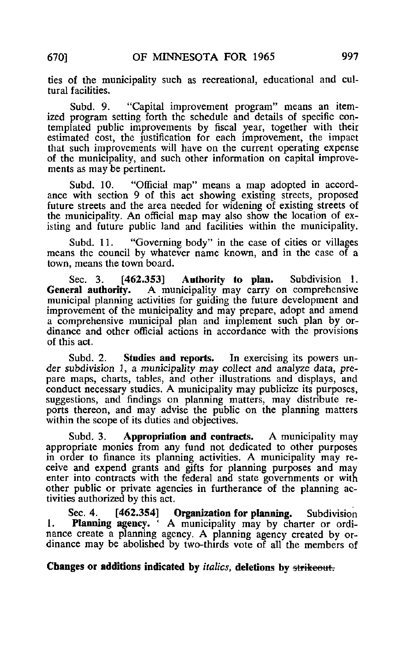ties of the municipality such as recreational, educational and cultural facilities.

Subd. 9. "Capital improvement program" means an itemized program setting forth the schedule and details of specific contemplated public improvements by fiscal year, together with their estimated cost, the justification for each improvement, the impact that such improvements will have on the current operating expense of the municipality, and such other information on capital improvements as may be pertinent.

Subd. 10. "Official map" means a map adopted in accordance with section 9 of this act showing existing streets, proposed future streets and the area needed for widening of existing streets of the municipality. An official map may also show the location of existing and future public land and facilities within the municipality.

Subd. 11. "Governing body" in the case of cities or villages means the council by whatever name known, and in the case of a town, means the town board.

Sec. 3. [462.353] Authority to plan. Subdivision 1. General authority. A municipality may carry on comprehensive municipal planning activities for guiding the future development and improvement of the municipality and may prepare, adopt and amend a comprehensive municipal plan and implement such plan by ordinance and other official actions in accordance with the provisions of this act.

Subd. 2. Studies and reports. In exercising its powers under subdivision 1, a municipality may collect and analyze data, prepare maps, charts, tables, and other illustrations and displays, and conduct necessary studies. A municipality may publicize its purposes, suggestions, and findings on planning matters, may distribute reports thereon, and may advise the public on the planning matters within the scope of its duties and objectives.

Subd. 3. Appropriation and contracts. A municipality may appropriate monies from any fund not dedicated to other purposes in order to finance its planning activities. A municipality may receive and expend grants and gifts for planning purposes and may enter into contracts with the federal and state governments or with other public or private agencies in furtherance of the planning activities authorized by this act.

Sec. 4. [462.354] Organization for planning. Subdivision 1. Planning agency. A municipality may by charter or ordinance create a planning agency. A planning agency created by ordinance may be abolished by two-thirds vote of all the members of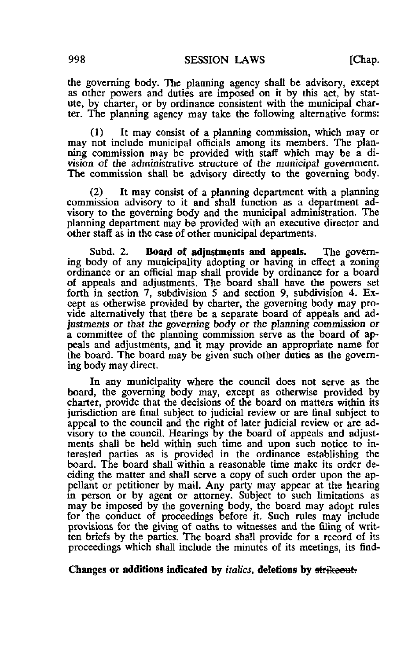the governing body. The planning agency shall be advisory, except as other powers and duties are imposed on it by this act, by statute, by charter, or by ordinance consistent with the municipal charter. The planning agency may take the following alternative forms:

(1) It may consist of a planning commission, which may or may not include municipal officials among its members. The planning commission may be provided with staff which may be a division of the administrative structure of the municipal government. The commission shall be advisory directly to the governing body.

(2) It may consist of a planning department with a planning commission advisory to it and shall function as a department advisory to the governing body and the municipal administration. The planning department may be provided with an executive director and other staff as in the case of other municipal departments.

Subd. 2. Board of adjustments and appeals. The governing body of any municipality adopting or having in effect a zoning ordinance or an official map shall provide by ordinance for a board of appeals and adjustments. The board shall have the powers set forth in section 7, subdivision 5 and section 9, subdivision 4. Except as otherwise provided by charter, the governing body may provide alternatively that there be a separate board of appeals and adjustments or that the governing body or the planning commission or a committee of the planning commission serve as the board of appeals and adjustments, and it may provide an appropriate name for the board. The board may be given such other duties as the governing body may direct.

In any municipality where the council does not serve as the board, the governing body may, except as otherwise provided by charter, provide that the decisions of the board on matters within its jurisdiction are final subject to judicial review or are final subject to appeal to the council and the right of later judicial review or are advisory to the council. Hearings by the board of appeals and adjustments shall be held within such time and upon such notice to interested parties as is provided in the ordinance establishing the board. The board shall within a reasonable time make its order deciding the matter and shall serve a copy of such order upon the appellant or petitioner by mail. Any party may appear at the hearing in person or by agent or attorney. Subject to such limitations as may be imposed by the governing body, the board may adopt rules for the conduct of proceedings before it. Such rules may include provisions for the giving of oaths to witnesses and the filing of written briefs by the parties. The board shall provide for a record of its proceedings which shall include the minutes of its meetings, its find-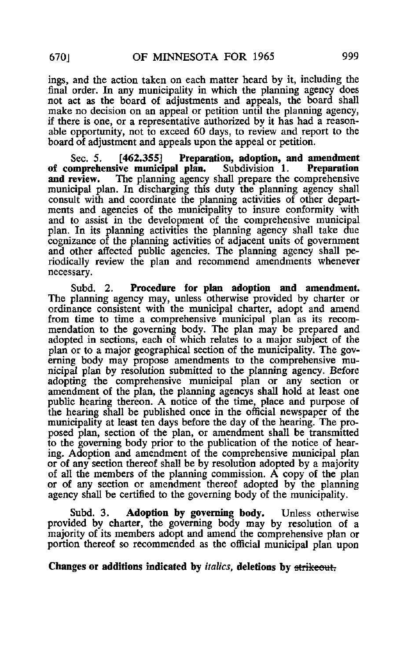ings, and the action taken on each matter heard by it, including the final order. In any municipality in which the planning agency does not act as the board of adjustments and appeals, the board shall make no decision on an appeal or petition until the planning agency, if there is one, or a representative authorized by it has had a reasonable opportunity, not to exceed 60 days, to review and report to the board of adjustment and appeals upon the appeal or petition.

Sec. 5. [462.355] Preparation, adoption, and amendment by preparation and amendment of comprehensive municipal plan.<br>and review. The planning agency The planning agency shall prepare the comprehensive municipal plan. In discharging this duty the planning agency shall consult with and coordinate the planning activities of other departments and agencies of the municipality to insure conformity with and to assist in the development of the comprehensive municipal plan. In its planning activities the planning agency shall take due cognizance of the planning activities of adjacent units of government and other affected public agencies. The planning agency shall periodically review the plan and recommend amendments whenever necessary.

Subd. 2. Procedure for plan adoption and amendment. The planning agency may, unless otherwise provided by charter or ordinance consistent with the municipal charter, adopt and amend from time to time a comprehensive municipal plan as its recommendation to the governing body. The plan may be prepared and adopted in sections, each of which relates to a major subject of the plan or to a major geographical section of the municipality. The governing body may propose amendments to the comprehensive municipal plan by resolution submitted to the planning agency. Before adopting the comprehensive municipal plan or any section or amendment of the plan, the planning agencys shall hold at least one public hearing thereon. A notice of the time, place and purpose of the hearing shall be published once in the official newspaper of the municipality at least ten days before the day of the hearing. The proposed plan, section of the plan, or amendment shall be transmitted to the governing body prior to the publication of the notice of hearing. Adoption and amendment of the comprehensive municipal plan or of any section thereof shall be by resolution adopted by a majority of all the members of the planning commission. A copy of the plan or of any section or amendment thereof adopted by the planning agency shall be certified to the governing body of the municipality.

Subd. 3. Adoption by governing body. Unless otherwise provided by charter, the governing body may by resolution of a majority of its members adopt and amend the comprehensive plan or portion thereof so recommended as the official municipal plan upon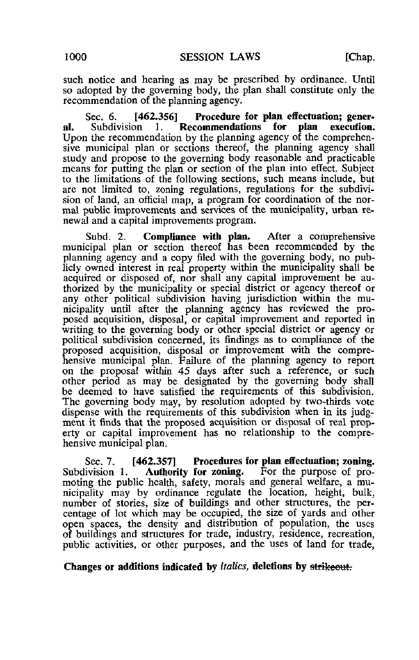such notice and hearing as may be prescribed by ordinance. Until so adopted by the governing body, the plan shall constitute only the recommendation of the planning agency.

Sec. 6. [462.356] Procedure for plan effectuation; gener-<br>Subdivision 1. Recommendations for plan execution. al. Subdivision 1. Recommendations Upon the recommendation by the planning agency of the comprehensive municipal plan or sections thereof, the planning agency shall study and propose to the governing body reasonable and practicable means for putting the plan or section of the plan into effect. Subject to the limitations of the following sections, such means include, but are not limited to, zoning regulations, regulations for the subdivision of land, an official map, a program for coordination of the normal public improvements and services of the municipality, urban renewal and a capital improvements program.

Subd. 2. Compliance with plan. After a comprehensive municipal plan or section thereof has been recommended by the planning agency and a copy filed with the governing body, no publicly owned interest in real property within the municipality shall be acquired or disposed of, nor shall any capital improvement be authorized by the municipality or special district or agency thereof or any other political subdivision having jurisdiction within the municipality until after the planning agency has reviewed the proposed acquisition, disposal, or capital improvement and reported in writing to the governing body or other special district or agency or political subdivision concerned, its findings as to compliance of the proposed acquisition, disposal or improvement with the comprehensive municipal plan. Failure of the planning agency to report on the proposal within 45 days after such a reference, or such other period as may be designated by the governing body shall be deemed to have satisfied the requirements of this subdivision. The governing body may, by resolution adopted by two-thirds vote dispense with the requirements of this subdivision when in its judgment it finds that the proposed acquisition or disposal of real property or capital improvement has no relationship to the comprehensive municipal plan.

Sec. 7. [462.357] Procedures for plan effectuation; zoning, Subdivision 1. Authority for zoning. For the purpose of pro-For the purpose of promoting the public health, safety, morals and general welfare, a municipality may by ordinance regulate the location, height, bulk, number of stories, size of buildings and other structures, the percentage of lot which may be occupied, the size of yards and other open spaces, the density and distribution of population, the uses of buildings and structures for trade, industry, residence, recreation, public activities, or other purposes, and the uses of land for trade,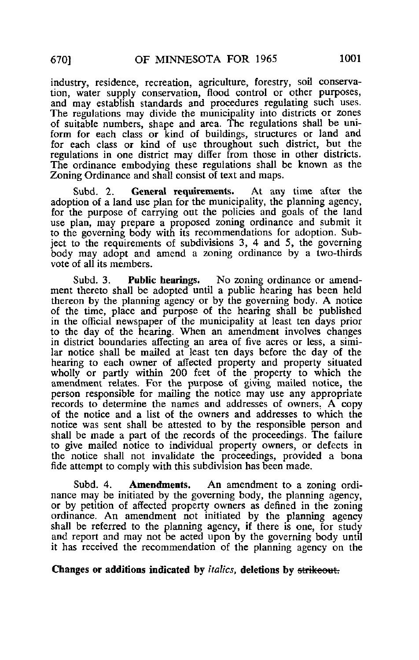industry, residence, recreation, agriculture, forestry, soil conservation, water supply conservation, flood control or other purposes, and may establish standards and procedures regulating such uses. The regulations may divide the municipality into districts or zones of suitable numbers, shape and area. The regulations shall be uniform for each class or kind of buildings, structures or land and for each class or kind of use throughout such district, but the regulations in one district may differ from those in other districts. The ordinance embodying these regulations shall be known as the Zoning Ordinance and shall consist of text and maps.

Subd. 2. General requirements. At any time after the adoption of a land use plan for the municipality, the planning agency, for the purpose of carrying out the policies and goals of the land use plan, may prepare a proposed zoning ordinance and submit it to the governing body with its recommendations for adoption. Subject to the requirements of subdivisions 3, 4 and 5, the governing body may adopt and amend a zoning ordinance by a two-thirds vote of all its members.

Subd. 3. Public hearings. No zoning ordinance or amendment thereto shall be adopted until a public hearing has been held thereon by the planning agency or by the governing body. A notice of the time, place and purpose of the hearing shall be published in the official newspaper of the municipality at least ten days prior to the day of the hearing. When an amendment involves changes in district boundaries affecting an area of five acres or less, a similar notice shall be mailed at least ten days before the day of the hearing to each owner of affected property and property situated wholly or partly within 200 feet of the property to which the amendment relates. For the purpose of giving mailed notice, the person responsible for mailing the notice may use any appropriate records to determine the names and addresses of owners. A copy of the notice and a list of the owners and addresses to which the notice was sent shall be attested to by the responsible person and shall be made a part of the records of the proceedings. The failure to give mailed notice to individual property owners, or defects in the notice shall not invalidate the proceedings, provided a bona fide attempt to comply with this subdivision has been made.

Subd. 4. **Amendments.** An amendment to a zoning ordinance may be initiated by the governing body, the planning agency, or by petition of affected property owners as defined in the zoning ordinance. An amendment not initiated by the planning agency shall be referred to the planning agency, if there is one, for study and report and may not be acted upon by the governing body until it has received the recommendation of the planning agency on the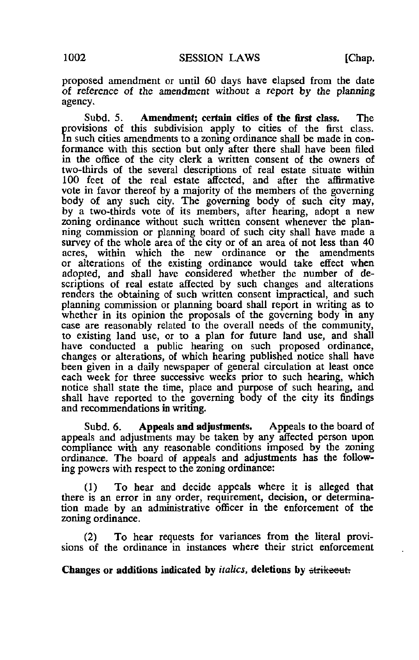proposed amendment or until 60 days have elapsed from the date of reference of the amendment without a report by the planning agency,

Subd. 5. Amendment; certain cities of the first class. The provisions of this subdivision apply to cities of the first class. In such cities amendments to a zoning ordinance shall be made in conformance with this section but only after there shall have been filed in the office of the city clerk a written consent of the owners of two-thirds of the several descriptions of real estate situate within 100 feet of the real estate affected, and after the affirmative vote in favor thereof by a majority of the members of the governing body of any such city. The governing body of such city may, by a two-thirds vote of its members, after hearing, adopt a new zoning ordinance without such written consent whenever the planning commission or planning board of such city shall have made a survey of the whole area of the city or of an area of not less than 40 acres, within which the new ordinance or the amendments or alterations of the existing ordinance would take effect when adopted, and shall have considered whether the number of descriptions of real estate affected by such changes and alterations renders the obtaining of such written consent impractical, and such planning commission or planning board shall report in writing as to whether in its opinion the proposals of the governing body in any case are reasonably related to the overall needs of the community, to existing land use, or to a plan for future land use, and shall have conducted a public hearing on such proposed ordinance, changes or alterations, of which hearing published notice shall have been given in a daily newspaper of general circulation at least once each week for three successive weeks prior to such hearing, which notice shall state the time, place and purpose of such hearing, and shall have reported to the governing body of the city its findings and recommendations in writing.

Subd. 6. Appeals and adjustments. Appeals to the board of appeals and adjustments may be taken by any affected person upon compliance with any reasonable conditions imposed by the zoning ordinance. The board of appeals and adjustments has the following powers with respect to the zoning ordinance:

(1) To hear and decide appeals where it is alleged that there is an error in any order, requirement, decision, or determination made by an administrative officer in the enforcement of the zoning ordinance.

(2) To hear requests for variances from the literal provisions of the ordinance in instances where their strict enforcement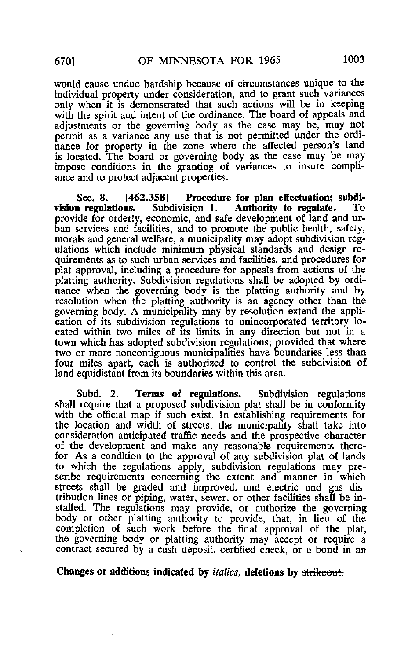would cause undue hardship because of circumstances unique to the individual property under consideration, and to grant such variances only when it is demonstrated that such actions will be in keeping with the spirit and intent of the ordinance. The board of appeals and adjustments or the governing body as the case may be, may not permit as a variance any use that is not permitted under the ordinance for property in the zone where the affected person's land is located. The board or governing body as the case may be may impose conditions in the granting of variances to insure compliance and to protect adjacent properties.

Sec. 8. [462.358] Procedure for plan effectuation; subdivision regulations. Subdivision 1. Authority to regulate. To Authority to regulate. provide for orderly, economic, and safe development of land and urban services and facilities, and to promote the public health, safety, morals and general welfare, a municipality may adopt subdivision regulations which include minimum physical standards and design requirements as to such urban services and facilities, and procedures for plat approval, including a procedure for appeals from actions of the platting authority. Subdivision regulations shall be adopted by ordinance when the governing body is the platting authority and by resolution when the platting authority is an agency other than the governing body. A municipality may by resolution extend the application of its subdivision regulations to unincorporated territory located within two miles of its limits in any direction but not in a town which has adopted subdivision regulations; provided that where two or more noncontiguous municipalities have boundaries less than four miles apart, each is authorized to control the subdivision of land equidistant from its boundaries within this area.

Subd. 2. Terms of regulations. Subdivision regulations shall require that a proposed subdivision plat shall be in conformity with the official map if such exist. In establishing requirements for the location and width of streets, the municipality shall take into consideration anticipated traffic needs and the prospective character of the development and make any reasonable requirements therefor. As a condition to the approval of any subdivision plat of lands to which the regulations apply, subdivision regulations may prescribe requirements concerning the extent and manner in which streets shall be graded and improved, and electric and gas distribution lines or piping, water, sewer, or other facilities shall be installed. The regulations may provide, or authorize the governing body or other platting authority to provide, that, in lieu of the completion of such work before the final approval of the plat, the governing body or platting authority may accept or require a contract secured by a cash deposit, certified check, or a bond in an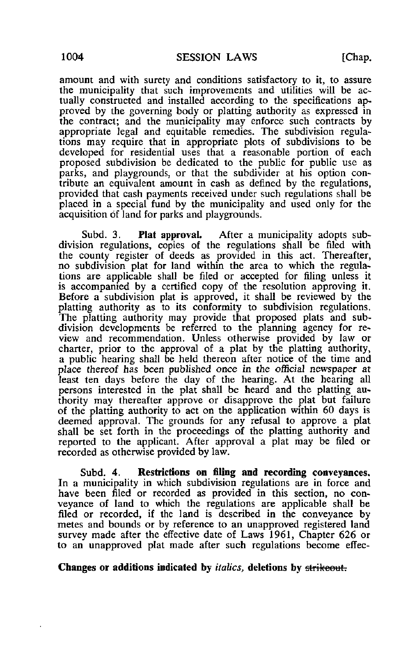amount and with surety and conditions satisfactory to it, to assure the municipality that such improvements and utilities will be actually constructed and installed according to the specifications approved by the governing body or platting authority as expressed in the contract; and the municipality may enforce such contracts by appropriate legal and equitable remedies. The subdivision regulations may require that in appropriate plots of subdivisions to be developed for residential uses that a reasonable portion of each proposed subdivision be dedicated to the public for public use as parks, and playgrounds, or that the subdivider at his option contribute an equivalent amount in cash as defined by the regulations, provided that cash payments received under such regulations shall be placed in a special fund by the municipality and used only for the acquisition of land for parks and playgrounds.

Subd. 3. **Plat approval.** After a municipality adopts subdivision regulations, copies of the regulations shall be filed with the county register of deeds as provided in this act. Thereafter, no subdivision plat for land within the area to which the regulations are applicable shall be filed or accepted for filing unless it is accompanied by a certified copy of the resolution approving it. Before a subdivision plat is approved, it shall be reviewed by the platting authority as to its conformity to subdivision regulations. The platting authority may provide that proposed plats and subdivision developments be referred to the planning agency for review and recommendation. Unless otherwise provided by law or charter, prior to the approval of a plat by the platting authority, a public hearing shall be held thereon after notice of the time and place thereof has been published once in the official newspaper at least ten days before the day of the hearing. At the hearing all persons interested in the plat shall be heard and the platting authority may thereafter approve or disapprove the plat but failure of the platting authority to act on the application within 60 days is deemed approval. The grounds for any refusal to approve a plat shall be set forth in the proceedings of the platting authority and reported to the applicant. After approval a plat may be filed or recorded as otherwise provided by law.

Subd. 4. Restrictions on filing and recording conveyances. In a municipality in which subdivision regulations are in force and have been filed or recorded as provided in this section, no conveyance of land to which the regulations are applicable shall be filed or recorded, if the land is described in the conveyance by metes and bounds or by reference to an unapproved registered land survey made after the effective date of Laws 1961, Chapter 626 or to an unapproved plat made after such regulations become effec-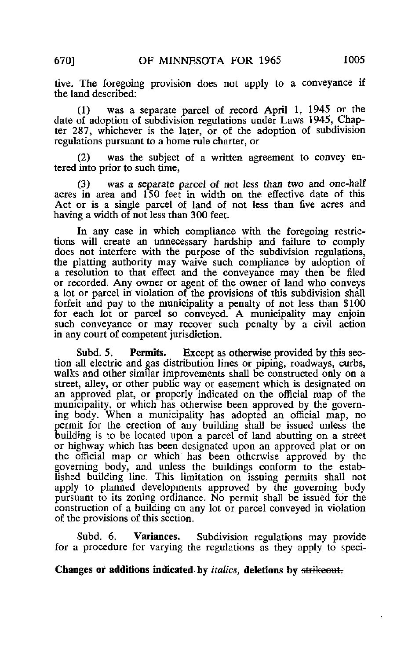tive. The foregoing provision does not apply to a conveyance if the land described:

(1) was a separate parcel of record April 1, 1945 or the date of adoption of subdivision regulations under Laws 1945, Chapter 287, whichever is the later, or of the adoption of subdivision regulations pursuant to a home rule charter, or

(2) was the subject of a written agreement to convey entered into prior to such time,

(3) was a separate parcel of not less than two and one-half acres in area and 150 feet in width on the effective date of this Act or is a single parcel of land of not less than five acres and having a width of not less than 300 feet.

In any case in which compliance with the foregoing restrictions will create an unnecessary hardship and failure to comply does not interfere with the purpose of the subdivision regulations, the platting authority may waive such compliance by adoption of a resolution to that effect and the conveyance may then be filed or recorded. Any owner or agent of the owner of land who conveys a lot or parcel in violation of the provisions of this subdivision shall forfeit and pay to the municipality a penalty of not less than \$100 for each lot or parcel so conveyed. A municipality may enjoin such conveyance or may recover such penalty by a civil action in any court of competent jurisdiction.

Subd. 5. **Permits.** Except as otherwise provided by this section all electric and gas distribution lines or piping, roadways, curbs, walks and other similar improvements shall be constructed only on a street, alley, or other public way or easement which is designated on an approved plat, or properly indicated on the official map of the municipality, or which has otherwise been approved by the governing body. When a municipality has adopted an official map, no permit for the erection of any building shall be issued unless the building is to be located upon a parcel of land abutting on a street or highway which has been designated upon an approved plat or on the official map or which has been otherwise approved by the governing body, and unless the buildings conform to the established building line. This limitation on issuing permits shall not apply to planned developments approved by the governing body pursuant to its zoning ordinance. No permit shall be issued for the construction of a building on any lot or parcel conveyed in violation of the provisions of this section.

Subd. 6. Variances. Subdivision regulations may provide for a procedure for varying the regulations as they apply to speci-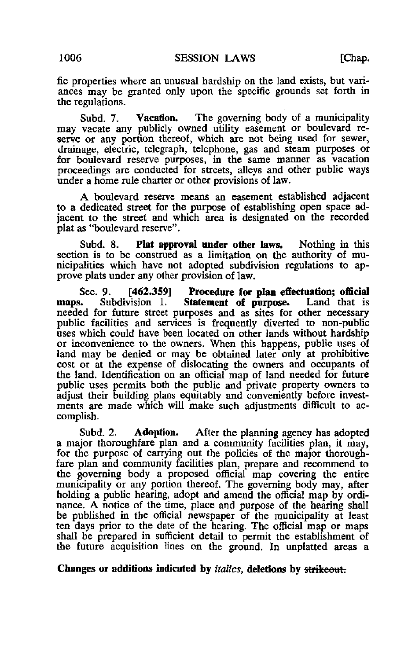fie properties where an unusual hardship on the land exists, but variances may be granted only upon the specific grounds set forth in the regulations.

Subd. 7. Vacation. The governing body of a municipality may vacate any publicly owned utility easement or boulevard reserve or any portion thereof, which are not being used for sewer, drainage, electric, telegraph, telephone, gas and steam purposes or for boulevard reserve purposes, in the same manner as vacation proceedings are conducted for streets, alleys and other public ways under a home rule charter or other provisions of law.

A boulevard reserve means an easement established adjacent to a dedicated street for the purpose of establishing open space adjacent to the street and which area is designated on the recorded plat as "boulevard reserve".

Subd. 8. **Plat approval under other laws.** Nothing in this section is to be construed as a limitation on the authority of municipalities which have not adopted subdivision regulations to approve plats under any other provision of law.

Sec. 9. [462.359] Procedure for plan effectuation; official<br>Subdivision 1. Statement of purpose. Land that is maps. Subdivision 1. Statement of purpose. needed for future street purposes and as sites for other necessary public facilities and services is frequently diverted to non-public uses which could have been located on other lands without hardship or inconvenience to the owners. When this happens, public uses of land may be denied or may be obtained later only at prohibitive cost or at the expense of dislocating the owners and occupants of the land. Identification on an official map of land needed for future public uses permits both the public and private property owners to adjust their building plans equitably and conveniently before investments are made which will make such adjustments difficult to accomplish.

Subd. 2. Adoption. After the planning agency has adopted a major thoroughfare plan and a community facilities plan, it may, for the purpose of carrying out the policies of the major thoroughfare plan and community facilities plan, prepare and recommend to the governing body a proposed official map covering the entire municipality or any portion thereof. The governing body may, after holding a public hearing, adopt and amend the official map by ordinance. A notice of the time, place and purpose of the hearing shall be published in the official newspaper of the municipality at least ten days prior to the date of the hearing. The official map or maps shall be prepared in sufficient detail to permit the establishment of the future acquisition lines on the ground. In unplatted areas a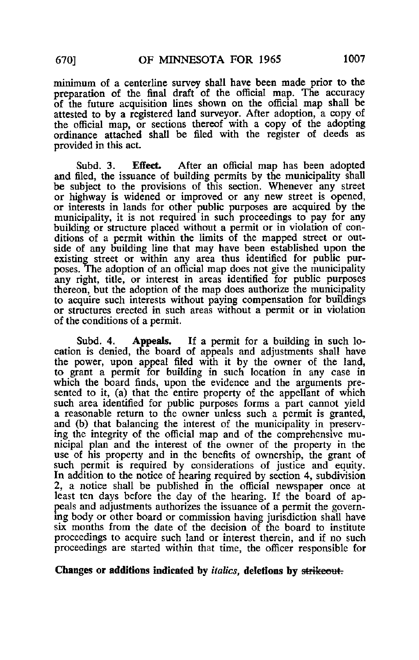minimum of a centerline survey shall have been made prior to the preparation of the final draft of the official map. The accuracy of the future acquisition lines shown on the official map shall be attested to by a registered land surveyor. After adoption, a copy of the official map, or sections thereof with a copy of the adopting ordinance attached shall be filed with the register of deeds as provided in this act.

Subd. 3. Effect. After an official map has been adopted and filed, the issuance of building permits by the municipality shall be subject to the provisions of this section. Whenever any street or highway is widened or improved or any new street is opened, or interests in lands for other public purposes are acquired by the municipality, it is not required in such proceedings to pay for any building or structure placed without a permit or in violation of conditions of a permit within the limits of the mapped street or outside of any building line that may have been established upon the existing street or within any area thus identified for public purposes. The adoption of an official map does not give the municipality any right, title, or interest in areas identified for public purposes thereon, but the adoption of the map does authorize the municipality to acquire such interests without paying compensation for buildings or structures erected in such areas without a permit or in violation of the conditions of a permit.

Subd. 4. Appeals. If a permit for a building in such location is denied, the board of appeals and adjustments shall have the power, upon appeal filed with it by the owner of the land, to grant a permit for building in such location in any case in which the board finds, upon the evidence and the arguments presented to it, (a) that the entire property of the appellant of which such area identified for public purposes forms a part cannot yield a reasonable return to the owner unless such a permit is granted, and (b) that balancing the interest of the municipality in preserving the integrity of the official map and of the comprehensive municipal plan and the interest of the owner of the property in the use of his property and in the benefits of ownership, the grant of such permit is required by considerations of justice and equity. In addition to the notice of hearing required by section 4, subdivision 2, a notice shall be published in the official newspaper once at least ten days before the day of the hearing. If the board of appeals and adjustments authorizes the issuance of a permit the governing body or other board or commission having jurisdiction shall have six months from the date of the decision of the board to institute proceedings to acquire such land or interest therein, and if no such proceedings are started within that time, the officer responsible for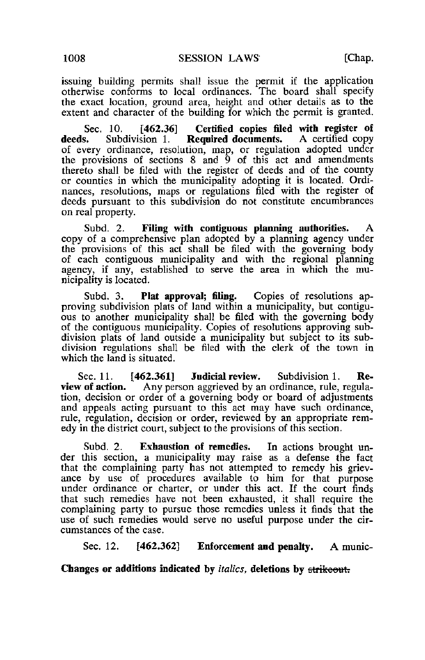issuing building permits shall issue the permit if the application otherwise conforms to local ordinances. The board shall specify the exact location, ground area, height and other details as to the extent and character of the building for which the permit is granted.

Sec. 10. [462.36] Certified copies filed with register of deeds. Subdivision 1. Required documents. A certified copy Required documents. of every ordinance, resolution, map, or regulation adopted under the provisions of sections  $8$  and  $9$  of this act and amendments thereto shall be filed with the register of deeds and of the county or counties in which the municipality adopting it is located. Ordinances, resolutions, maps or regulations filed with the register of deeds pursuant to this subdivision do not constitute encumbrances on real property.

Subd. 2. Filing with contiguous planning authorities. A copy of a comprehensive plan adopted by a planning agency under the provisions of this act shall be filed with the governing body of each contiguous municipality and with the regional planning agency, if any, established to serve the area in which the municipality is located.

Subd. 3. **Plat approval; filing.** Copies of resolutions approving subdivision plats of land within a municipality, but contiguous to another municipality shall be filed with the governing body of the contiguous municipality. Copies of resolutions approving subdivision plats of land outside a municipality but subject to its subdivision regulations shall be filed with the clerk of the town in which the land is situated.

Sec. 11. [462.361] Judicial review. Subdivision 1. Review of action. Any person aggrieved by an ordinance, rule, regula-Any person aggrieved by an ordinance, rule, regulation, decision or order of a governing body or board of adjustments and appeals acting pursuant to this act may have such ordinance, rule, regulation, decision or order, reviewed by an appropriate remedy in the district court, subject to the provisions of this section.

Subd. 2. Exhaustion of remedies. In actions brought under this section, a municipality may raise as a defense the fact that the complaining party has not attempted to remedy his grievance by use of procedures available to him for that purpose under ordinance or charter, or under this act. If the court finds that such remedies have not been exhausted, it shall require the complaining party to pursue those remedies unless it finds that the use of such remedies would serve no useful purpose under the circumstances of the case.

Sec. 12.  $[462.362]$  Enforcement and penalty. A munic-